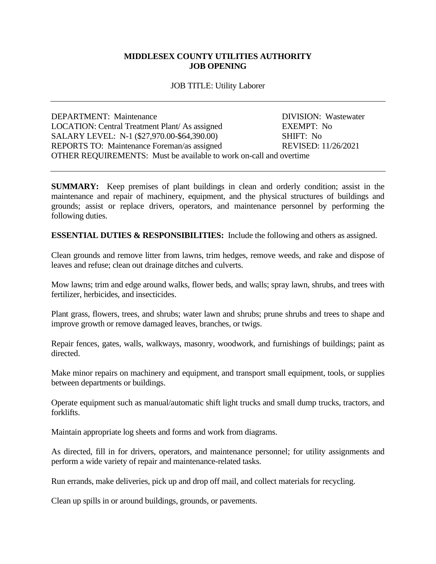## **MIDDLESEX COUNTY UTILITIES AUTHORITY JOB OPENING**

## JOB TITLE: Utility Laborer

DEPARTMENT: Maintenance DIVISION: Wastewater LOCATION: Central Treatment Plant/ As assigned EXEMPT: No SALARY LEVEL: N-1 (\$27,970.00-\$64,390.00) SHIFT: No REPORTS TO: Maintenance Foreman/as assigned REVISED: 11/26/2021 OTHER REQUIREMENTS: Must be available to work on-call and overtime

**SUMMARY:** Keep premises of plant buildings in clean and orderly condition; assist in the maintenance and repair of machinery, equipment, and the physical structures of buildings and grounds; assist or replace drivers, operators, and maintenance personnel by performing the following duties.

**ESSENTIAL DUTIES & RESPONSIBILITIES:** Include the following and others as assigned.

Clean grounds and remove litter from lawns, trim hedges, remove weeds, and rake and dispose of leaves and refuse; clean out drainage ditches and culverts.

Mow lawns; trim and edge around walks, flower beds, and walls; spray lawn, shrubs, and trees with fertilizer, herbicides, and insecticides.

Plant grass, flowers, trees, and shrubs; water lawn and shrubs; prune shrubs and trees to shape and improve growth or remove damaged leaves, branches, or twigs.

Repair fences, gates, walls, walkways, masonry, woodwork, and furnishings of buildings; paint as directed.

Make minor repairs on machinery and equipment, and transport small equipment, tools, or supplies between departments or buildings.

Operate equipment such as manual/automatic shift light trucks and small dump trucks, tractors, and forklifts.

Maintain appropriate log sheets and forms and work from diagrams.

As directed, fill in for drivers, operators, and maintenance personnel; for utility assignments and perform a wide variety of repair and maintenance-related tasks.

Run errands, make deliveries, pick up and drop off mail, and collect materials for recycling.

Clean up spills in or around buildings, grounds, or pavements.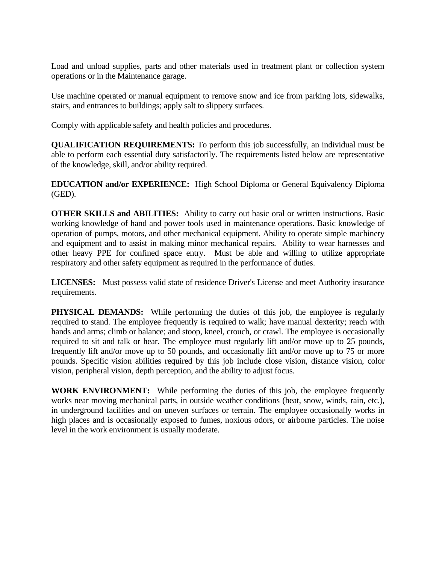Load and unload supplies, parts and other materials used in treatment plant or collection system operations or in the Maintenance garage.

Use machine operated or manual equipment to remove snow and ice from parking lots, sidewalks, stairs, and entrances to buildings; apply salt to slippery surfaces.

Comply with applicable safety and health policies and procedures.

**QUALIFICATION REQUIREMENTS:** To perform this job successfully, an individual must be able to perform each essential duty satisfactorily. The requirements listed below are representative of the knowledge, skill, and/or ability required.

**EDUCATION and/or EXPERIENCE:** High School Diploma or General Equivalency Diploma (GED).

**OTHER SKILLS and ABILITIES:** Ability to carry out basic oral or written instructions. Basic working knowledge of hand and power tools used in maintenance operations. Basic knowledge of operation of pumps, motors, and other mechanical equipment. Ability to operate simple machinery and equipment and to assist in making minor mechanical repairs. Ability to wear harnesses and other heavy PPE for confined space entry. Must be able and willing to utilize appropriate respiratory and other safety equipment as required in the performance of duties.

**LICENSES:** Must possess valid state of residence Driver's License and meet Authority insurance requirements.

**PHYSICAL DEMANDS:** While performing the duties of this job, the employee is regularly required to stand. The employee frequently is required to walk; have manual dexterity; reach with hands and arms; climb or balance; and stoop, kneel, crouch, or crawl. The employee is occasionally required to sit and talk or hear. The employee must regularly lift and/or move up to 25 pounds, frequently lift and/or move up to 50 pounds, and occasionally lift and/or move up to 75 or more pounds. Specific vision abilities required by this job include close vision, distance vision, color vision, peripheral vision, depth perception, and the ability to adjust focus.

**WORK ENVIRONMENT:** While performing the duties of this job, the employee frequently works near moving mechanical parts, in outside weather conditions (heat, snow, winds, rain, etc.), in underground facilities and on uneven surfaces or terrain. The employee occasionally works in high places and is occasionally exposed to fumes, noxious odors, or airborne particles. The noise level in the work environment is usually moderate.